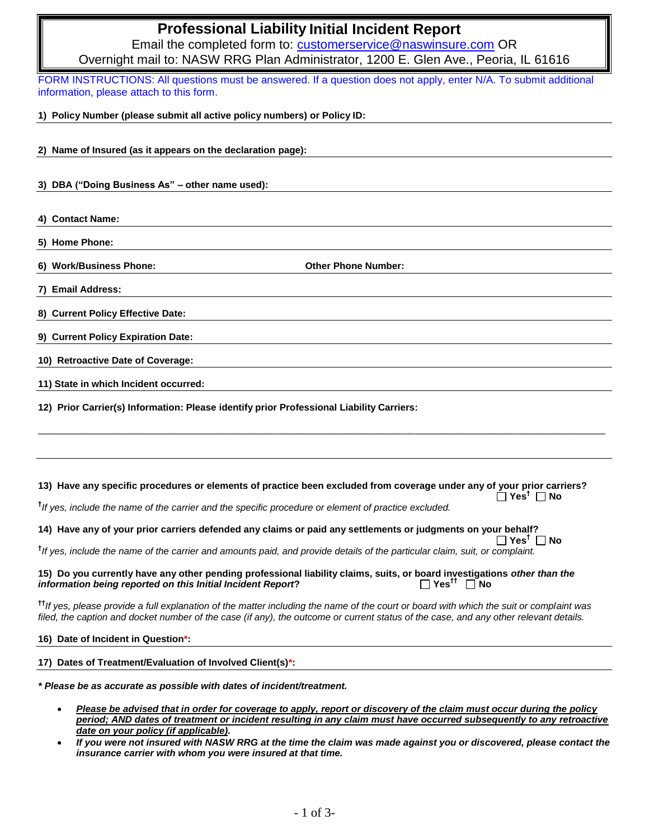# **Professional Liability Initial Incident Report**

Email the completed form to: [customerservice@naswinsure.com](mailto:customerservice@naswinsure.com) OR Overnight mail to: NASW RRG Plan Administrator, 1200 E. Glen Ave., Peoria, IL 61616

FORM INSTRUCTIONS: All questions must be answered. If a question does not apply, enter N/A. To submit additional information, please attach to this form.

**1) Policy Number (please submit all active policy numbers) or Policy ID:**

- **2) Name of Insured (as it appears on the declaration page):**
- **3) DBA ("Doing Business As" – other name used):**
- **4) Contact Name:**

**5) Home Phone:**

**6) Work/Business Phone: Other Phone Number:**

**7) Email Address:**

**8) Current Policy Effective Date:** 

**9) Current Policy Expiration Date:**

**10) Retroactive Date of Coverage:**

**11) State in which Incident occurred:**

**12) Prior Carrier(s) Information: Please identify prior Professional Liability Carriers:**

## **13) Have any specific procedures or elements of practice been excluded from coverage under any of your prior carriers? Yes† No**

\_\_\_\_\_\_\_\_\_\_\_\_\_\_\_\_\_\_\_\_\_\_\_\_\_\_\_\_\_\_\_\_\_\_\_\_\_\_\_\_\_\_\_\_\_\_\_\_\_\_\_\_\_\_\_\_\_\_\_\_\_\_\_\_\_\_\_\_\_\_\_\_\_\_\_\_\_\_\_\_\_\_\_\_\_\_\_\_\_\_\_\_\_\_\_\_\_\_\_\_\_\_\_\_\_\_\_

**†** *If yes, include the name of the carrier and the specific procedure or element of practice excluded.*

# **14) Have any of your prior carriers defended any claims or paid any settlements or judgments on your behalf?**

**Yes† No †** *If yes, include the name of the carrier and amounts paid, and provide details of the particular claim, suit, or complaint.*

#### **15) Do you currently have any other pending professional liability claims, suits, or board investigations** *other than the information being reported on this Initial Incident Report?*  $\Box$  Yes<sup>tt</sup>  $\Box$  No

**††***If yes, please provide a full explanation of the matter including the name of the court or board with which the suit or complaint was filed, the caption and docket number of the case (if any), the outcome or current status of the case, and any other relevant details.*

#### **16) Date of Incident in Question\*:**

# **17) Dates of Treatment/Evaluation of Involved Client(s)\*:**

*\* Please be as accurate as possible with dates of incident/treatment.* 

- *Please be advised that in order for coverage to apply, report or discovery of the claim must occur during the policy period; AND dates of treatment or incident resulting in any claim must have occurred subsequently to any retroactive date on your policy (if applicable).*
- *If you were not insured with NASW RRG at the time the claim was made against you or discovered, please contact the insurance carrier with whom you were insured at that time.*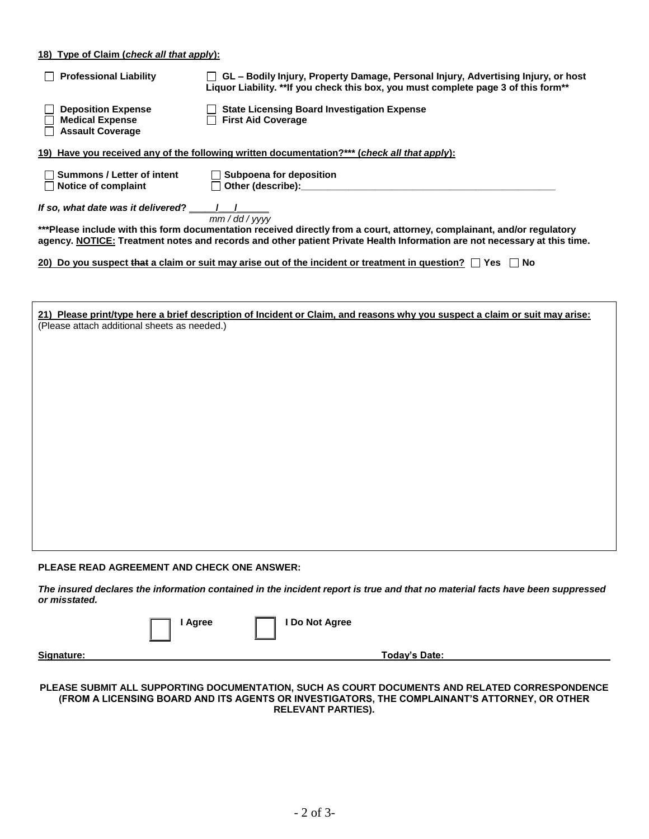# **18) Type of Claim (***check all that apply***):**

| <b>Professional Liability</b>                                                                | □ GL – Bodily Injury, Property Damage, Personal Injury, Advertising Injury, or host<br>Liquor Liability. ** If you check this box, you must complete page 3 of this form**                                                                                       |
|----------------------------------------------------------------------------------------------|------------------------------------------------------------------------------------------------------------------------------------------------------------------------------------------------------------------------------------------------------------------|
| <b>Deposition Expense</b><br><b>Medical Expense</b><br><b>Assault Coverage</b>               | State Licensing Board Investigation Expense<br><b>First Aid Coverage</b>                                                                                                                                                                                         |
| 19) Have you received any of the following written documentation?*** (check all that apply): |                                                                                                                                                                                                                                                                  |
| <b>Summons / Letter of intent</b><br>Notice of complaint                                     | $\Box$ Subpoena for deposition                                                                                                                                                                                                                                   |
| If so, what date was it delivered?                                                           | mm/dd/yyy<br>***Please include with this form documentation received directly from a court, attorney, complainant, and/or regulatory<br>agency. NOTICE: Treatment notes and records and other patient Private Health Information are not necessary at this time. |
|                                                                                              | 20) Do you suspect that a claim or suit may arise out of the incident or treatment in question? $\Box$ Yes $\Box$ No                                                                                                                                             |
|                                                                                              |                                                                                                                                                                                                                                                                  |
| (Please attach additional sheets as needed.)                                                 | 21) Please print/type here a brief description of Incident or Claim, and reasons why you suspect a claim or suit may arise:                                                                                                                                      |
|                                                                                              |                                                                                                                                                                                                                                                                  |
|                                                                                              |                                                                                                                                                                                                                                                                  |

# **PLEASE READ AGREEMENT AND CHECK ONE ANSWER:**

*The insured declares the information contained in the incident report is true and that no material facts have been suppressed or misstated.* 

**I Agree I Do Not Agree** 

**Signature: Today's Date:** 

#### **PLEASE SUBMIT ALL SUPPORTING DOCUMENTATION, SUCH AS COURT DOCUMENTS AND RELATED CORRESPONDENCE (FROM A LICENSING BOARD AND ITS AGENTS OR INVESTIGATORS, THE COMPLAINANT'S ATTORNEY, OR OTHER RELEVANT PARTIES).**